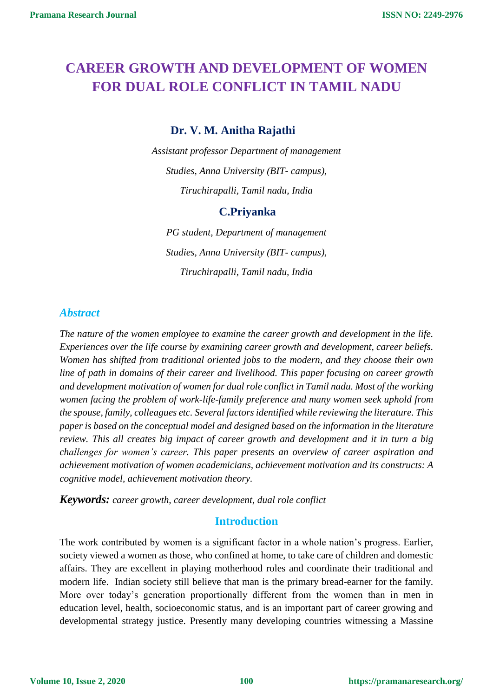# **CAREER GROWTH AND DEVELOPMENT OF WOMEN FOR DUAL ROLE CONFLICT IN TAMIL NADU**

# **Dr. V. M. Anitha Rajathi**

*Assistant professor Department of management Studies, Anna University (BIT- campus), Tiruchirapalli, Tamil nadu, India*

## **C.Priyanka**

*PG student, Department of management Studies, Anna University (BIT- campus), Tiruchirapalli, Tamil nadu, India*

# *Abstract*

*The nature of the women employee to examine the career growth and development in the life. Experiences over the life course by examining career growth and development, career beliefs. Women has shifted from traditional oriented jobs to the modern, and they choose their own line of path in domains of their career and livelihood. This paper focusing on career growth and development motivation of women for dual role conflict in Tamil nadu. Most of the working women facing the problem of work-life-family preference and many women seek uphold from the spouse, family, colleagues etc. Several factors identified while reviewing the literature. This paper is based on the conceptual model and designed based on the information in the literature review. This all creates big impact of career growth and development and it in turn a big challenges for women's career. This paper presents an overview of career aspiration and achievement motivation of women academicians, achievement motivation and its constructs: A cognitive model, achievement motivation theory.*

*Keywords: career growth, career development, dual role conflict*

## **Introduction**

The work contributed by women is a significant factor in a whole nation's progress. Earlier, society viewed a women as those, who confined at home, to take care of children and domestic affairs. They are excellent in playing motherhood roles and coordinate their traditional and modern life. Indian society still believe that man is the primary bread-earner for the family. More over today's generation proportionally different from the women than in men in education level, health, socioeconomic status, and is an important part of career growing and developmental strategy justice. Presently many developing countries witnessing a Massine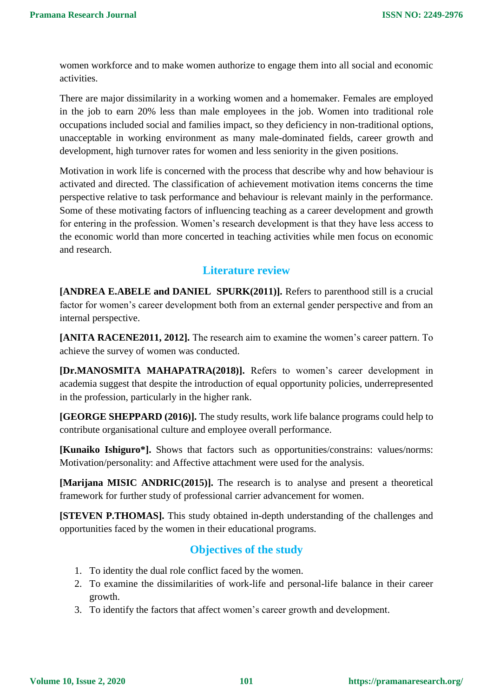women workforce and to make women authorize to engage them into all social and economic activities.

There are major dissimilarity in a working women and a homemaker. Females are employed in the job to earn 20% less than male employees in the job. Women into traditional role occupations included social and families impact, so they deficiency in non-traditional options, unacceptable in working environment as many male-dominated fields, career growth and development, high turnover rates for women and less seniority in the given positions.

Motivation in work life is concerned with the process that describe why and how behaviour is activated and directed. The classification of achievement motivation items concerns the time perspective relative to task performance and behaviour is relevant mainly in the performance. Some of these motivating factors of influencing teaching as a career development and growth for entering in the profession. Women's research development is that they have less access to the economic world than more concerted in teaching activities while men focus on economic and research.

# **Literature review**

**[ANDREA E.ABELE and DANIEL SPURK(2011)].** Refers to parenthood still is a crucial factor for women's career development both from an external gender perspective and from an internal perspective.

**[ANITA RACENE2011, 2012].** The research aim to examine the women's career pattern. To achieve the survey of women was conducted.

**[Dr.MANOSMITA MAHAPATRA(2018)].** Refers to women's career development in academia suggest that despite the introduction of equal opportunity policies, underrepresented in the profession, particularly in the higher rank.

**[GEORGE SHEPPARD (2016)].** The study results, work life balance programs could help to contribute organisational culture and employee overall performance.

**[Kunaiko Ishiguro\*].** Shows that factors such as opportunities/constrains: values/norms: Motivation/personality: and Affective attachment were used for the analysis.

**[Marijana MISIC ANDRIC(2015)].** The research is to analyse and present a theoretical framework for further study of professional carrier advancement for women.

**[STEVEN P.THOMAS].** This study obtained in-depth understanding of the challenges and opportunities faced by the women in their educational programs.

# **Objectives of the study**

- 1. To identity the dual role conflict faced by the women.
- 2. To examine the dissimilarities of work-life and personal-life balance in their career growth.
- 3. To identify the factors that affect women's career growth and development.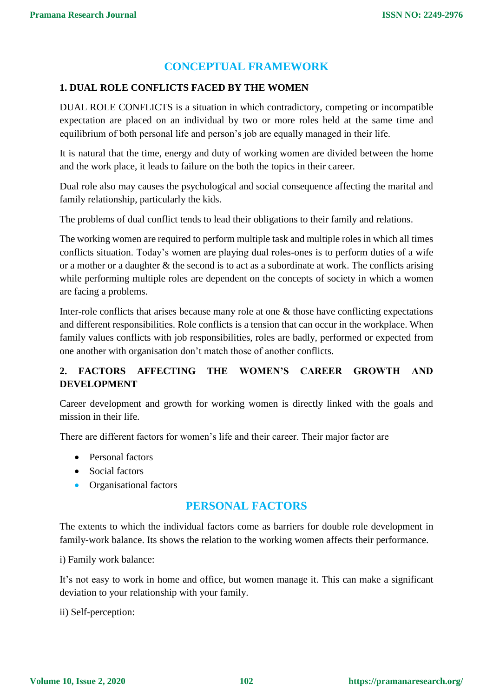# **CONCEPTUAL FRAMEWORK**

## **1. DUAL ROLE CONFLICTS FACED BY THE WOMEN**

DUAL ROLE CONFLICTS is a situation in which contradictory, competing or incompatible expectation are placed on an individual by two or more roles held at the same time and equilibrium of both personal life and person's job are equally managed in their life.

It is natural that the time, energy and duty of working women are divided between the home and the work place, it leads to failure on the both the topics in their career.

Dual role also may causes the psychological and social consequence affecting the marital and family relationship, particularly the kids.

The problems of dual conflict tends to lead their obligations to their family and relations.

The working women are required to perform multiple task and multiple roles in which all times conflicts situation. Today's women are playing dual roles-ones is to perform duties of a wife or a mother or a daughter & the second is to act as a subordinate at work. The conflicts arising while performing multiple roles are dependent on the concepts of society in which a women are facing a problems.

Inter-role conflicts that arises because many role at one  $\&$  those have conflicting expectations and different responsibilities. Role conflicts is a tension that can occur in the workplace. When family values conflicts with job responsibilities, roles are badly, performed or expected from one another with organisation don't match those of another conflicts.

# **2. FACTORS AFFECTING THE WOMEN'S CAREER GROWTH AND DEVELOPMENT**

Career development and growth for working women is directly linked with the goals and mission in their life.

There are different factors for women's life and their career. Their major factor are

- Personal factors
- Social factors
- Organisational factors

# **PERSONAL FACTORS**

The extents to which the individual factors come as barriers for double role development in family-work balance. Its shows the relation to the working women affects their performance.

i) Family work balance:

It's not easy to work in home and office, but women manage it. This can make a significant deviation to your relationship with your family.

ii) Self-perception: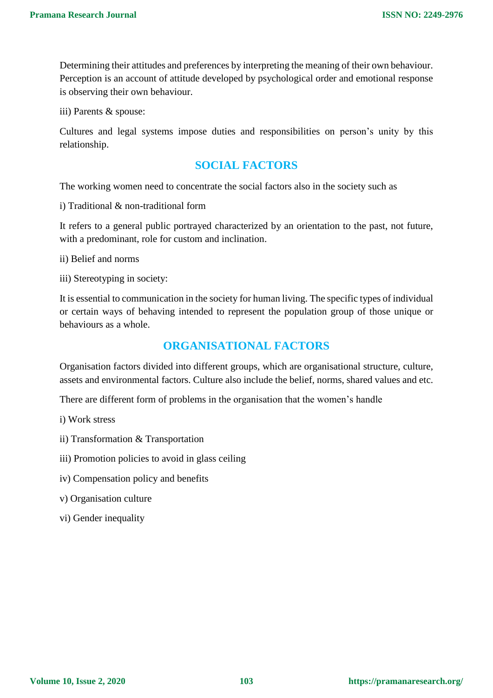Determining their attitudes and preferences by interpreting the meaning of their own behaviour. Perception is an account of attitude developed by psychological order and emotional response is observing their own behaviour.

iii) Parents & spouse:

Cultures and legal systems impose duties and responsibilities on person's unity by this relationship.

# **SOCIAL FACTORS**

The working women need to concentrate the social factors also in the society such as

i) Traditional & non-traditional form

It refers to a general public portrayed characterized by an orientation to the past, not future, with a predominant, role for custom and inclination.

ii) Belief and norms

iii) Stereotyping in society:

It is essential to communication in the society for human living. The specific types of individual or certain ways of behaving intended to represent the population group of those unique or behaviours as a whole.

# **ORGANISATIONAL FACTORS**

Organisation factors divided into different groups, which are organisational structure, culture, assets and environmental factors. Culture also include the belief, norms, shared values and etc.

There are different form of problems in the organisation that the women's handle

- i) Work stress
- ii) Transformation & Transportation
- iii) Promotion policies to avoid in glass ceiling
- iv) Compensation policy and benefits
- v) Organisation culture
- vi) Gender inequality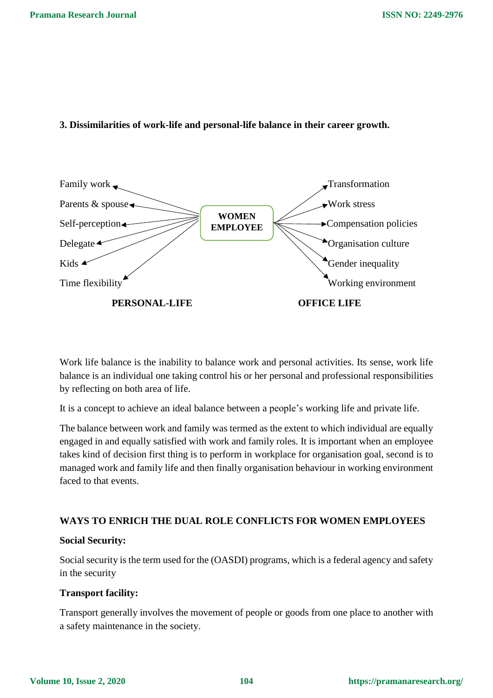#### **3. Dissimilarities of work-life and personal-life balance in their career growth.**



Work life balance is the inability to balance work and personal activities. Its sense, work life balance is an individual one taking control his or her personal and professional responsibilities by reflecting on both area of life.

It is a concept to achieve an ideal balance between a people's working life and private life.

The balance between work and family was termed as the extent to which individual are equally engaged in and equally satisfied with work and family roles. It is important when an employee takes kind of decision first thing is to perform in workplace for organisation goal, second is to managed work and family life and then finally organisation behaviour in working environment faced to that events.

# **WAYS TO ENRICH THE DUAL ROLE CONFLICTS FOR WOMEN EMPLOYEES**

## **Social Security:**

Social security is the term used for the (OASDI) programs, which is a federal agency and safety in the security

## **Transport facility:**

Transport generally involves the movement of people or goods from one place to another with a safety maintenance in the society.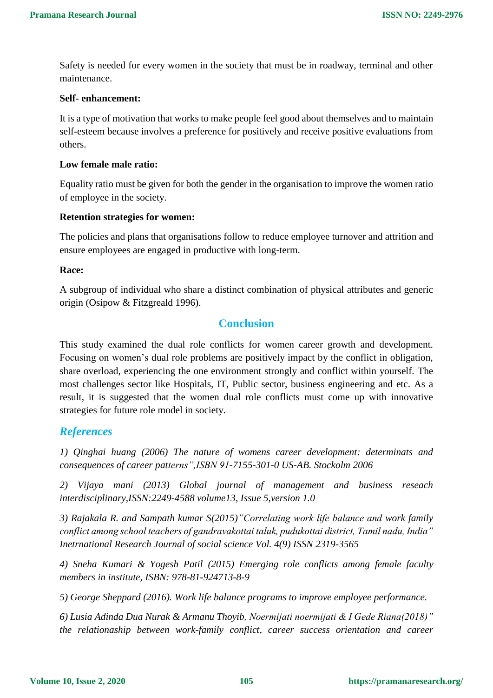Safety is needed for every women in the society that must be in roadway, terminal and other maintenance.

#### **Self- enhancement:**

It is a type of motivation that works to make people feel good about themselves and to maintain self-esteem because involves a preference for positively and receive positive evaluations from others.

#### **Low female male ratio:**

Equality ratio must be given for both the gender in the organisation to improve the women ratio of employee in the society.

#### **Retention strategies for women:**

The policies and plans that organisations follow to reduce employee turnover and attrition and ensure employees are engaged in productive with long-term.

#### **Race:**

A subgroup of individual who share a distinct combination of physical attributes and generic origin (Osipow & Fitzgreald 1996).

# **Conclusion**

This study examined the dual role conflicts for women career growth and development. Focusing on women's dual role problems are positively impact by the conflict in obligation, share overload, experiencing the one environment strongly and conflict within yourself. The most challenges sector like Hospitals, IT, Public sector, business engineering and etc. As a result, it is suggested that the women dual role conflicts must come up with innovative strategies for future role model in society.

## *References*

*1) Qinghai huang (2006) The nature of womens career development: determinats and consequences of career patterns",ISBN 91-7155-301-0 US-AB. Stockolm 2006*

*2) Vijaya mani (2013) Global journal of management and business reseach interdisciplinary,ISSN:2249-4588 volume13, Issue 5,version 1.0*

*3) Rajakala R. and Sampath kumar S(2015)"Correlating work life balance and work family conflict among school teachers of gandravakottai taluk, pudukottai district, Tamil nadu, India" Inetrnational Research Journal of social science Vol. 4(9) ISSN 2319-3565* 

*4) Sneha Kumari & Yogesh Patil (2015) Emerging role conflicts among female faculty members in institute, ISBN: 978-81-924713-8-9*

*5) George Sheppard (2016). Work life balance programs to improve employee performance.*

*6) Lusia Adinda Dua Nurak & Armanu Thoyib, Noermijati noermijati & I Gede Riana(2018)" the relationaship between work-family conflict, career success orientation and career*